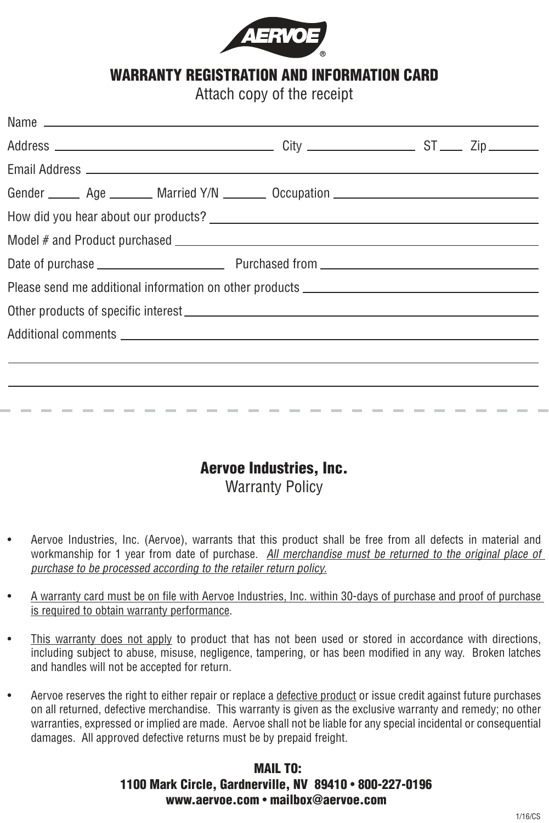

## WARRANTY REGISTRATION AND INFORMATION CARD

Attach copy of the receipt

| Please send me additional information on other products _________________________ |  |  |
|-----------------------------------------------------------------------------------|--|--|
|                                                                                   |  |  |
|                                                                                   |  |  |
|                                                                                   |  |  |
|                                                                                   |  |  |
|                                                                                   |  |  |

#### Aervoe Industries, Inc. Warranty Policy

- Aervoe Industries, Inc. (Aervoe), warrants that this product shall be free from all defects in material and workmanship for 1 year from date of purchase. All merchandise must be returned to the original place of purchase to be processed according to the retailer return policy.
- A warranty card must be on file with Aervoe Industries, Inc. within 30-days of purchase and proof of purchase is required to obtain warranty performance.
- This warranty does not apply to product that has not been used or stored in accordance with directions, including subject to abuse, misuse, negligence, tampering, or has been modified in any way. Broken latches and handles will not be accepted for return.
- Aervoe reserves the right to either repair or replace a defective product or issue credit against future purchases on all returned, defective merchandise. This warranty is given as the exclusive warranty and remedy; no other warranties, expressed or implied are made. Aervoe shall not be liable for any special incidental or consequential damages. All approved defective returns must be by prepaid freight.

#### MAIL TO: 1100 Mark Circle, Gardnerville, NV 89410 • 800-227-0196 www.aervoe.com • mailbox@aervoe.com